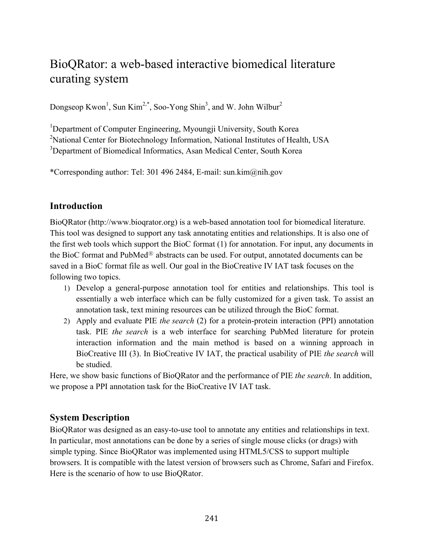# BioQRator: a web-based interactive biomedical literature curating system

Dongseop Kwon<sup>1</sup>, Sun Kim<sup>2,\*</sup>, Soo-Yong Shin<sup>3</sup>, and W. John Wilbur<sup>2</sup>

<sup>1</sup>Department of Computer Engineering, Myoungji University, South Korea <sup>2</sup>National Center for Biotechnology Information, National Institutes of Health, USA <sup>3</sup>Department of Biomedical Informatics, Asan Medical Center, South Korea

\*Corresponding author: Tel: 301 496 2484, E-mail: sun.kim@nih.gov

### **Introduction**

BioQRator (http://www.bioqrator.org) is a web-based annotation tool for biomedical literature. This tool was designed to support any task annotating entities and relationships. It is also one of the first web tools which support the BioC format (1) for annotation. For input, any documents in the BioC format and PubMed<sup>®</sup> abstracts can be used. For output, annotated documents can be saved in a BioC format file as well. Our goal in the BioCreative IV IAT task focuses on the following two topics.

- 1) Develop a general-purpose annotation tool for entities and relationships. This tool is essentially a web interface which can be fully customized for a given task. To assist an annotation task, text mining resources can be utilized through the BioC format.
- 2) Apply and evaluate PIE *the search* (2) for a protein-protein interaction (PPI) annotation task. PIE *the search* is a web interface for searching PubMed literature for protein interaction information and the main method is based on a winning approach in BioCreative III (3). In BioCreative IV IAT, the practical usability of PIE *the search* will be studied.

Here, we show basic functions of BioQRator and the performance of PIE *the search*. In addition, we propose a PPI annotation task for the BioCreative IV IAT task.

## **System Description**

BioQRator was designed as an easy-to-use tool to annotate any entities and relationships in text. In particular, most annotations can be done by a series of single mouse clicks (or drags) with simple typing. Since BioQRator was implemented using HTML5/CSS to support multiple browsers. It is compatible with the latest version of browsers such as Chrome, Safari and Firefox. Here is the scenario of how to use BioQRator.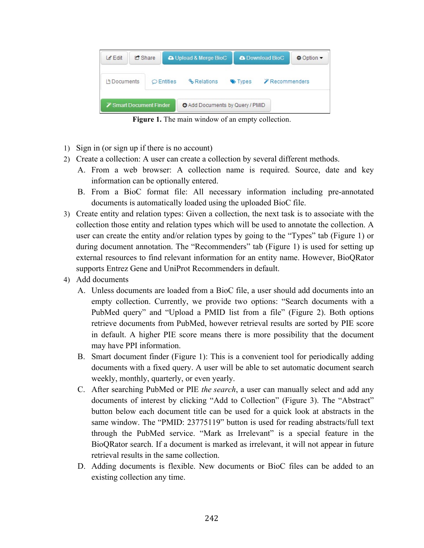| $\mathscr{L}$ Edit       | <b>C</b> Share |                                       | <b>A</b> Upload & Merge BioC           |  |       | <b>A</b> Download BioC | ‡ Option ▼ |
|--------------------------|----------------|---------------------------------------|----------------------------------------|--|-------|------------------------|------------|
| I <sup>a</sup> Documents |                | $\circ$ Entities                      | <b>&amp;</b> Relations                 |  | Types | Recommenders           |            |
|                          |                | <b><i>X</i></b> Smart Document Finder | <b>O</b> Add Documents by Query / PMID |  |       |                        |            |

**Figure 1.** The main window of an empty collection.

- 1) Sign in (or sign up if there is no account)
- 2) Create a collection: A user can create a collection by several different methods.
	- A. From a web browser: A collection name is required. Source, date and key information can be optionally entered.
	- B. From a BioC format file: All necessary information including pre-annotated documents is automatically loaded using the uploaded BioC file.
- 3) Create entity and relation types: Given a collection, the next task is to associate with the collection those entity and relation types which will be used to annotate the collection. A user can create the entity and/or relation types by going to the "Types" tab (Figure 1) or during document annotation. The "Recommenders" tab (Figure 1) is used for setting up external resources to find relevant information for an entity name. However, BioQRator supports Entrez Gene and UniProt Recommenders in default.
- 4) Add documents
	- A. Unless documents are loaded from a BioC file, a user should add documents into an empty collection. Currently, we provide two options: "Search documents with a PubMed query" and "Upload a PMID list from a file" (Figure 2). Both options retrieve documents from PubMed, however retrieval results are sorted by PIE score in default. A higher PIE score means there is more possibility that the document may have PPI information.
	- B. Smart document finder (Figure 1): This is a convenient tool for periodically adding documents with a fixed query. A user will be able to set automatic document search weekly, monthly, quarterly, or even yearly.
	- C. After searching PubMed or PIE *the search*, a user can manually select and add any documents of interest by clicking "Add to Collection" (Figure 3). The "Abstract" button below each document title can be used for a quick look at abstracts in the same window. The "PMID: 23775119" button is used for reading abstracts/full text through the PubMed service. "Mark as Irrelevant" is a special feature in the BioQRator search. If a document is marked as irrelevant, it will not appear in future retrieval results in the same collection.
	- D. Adding documents is flexible. New documents or BioC files can be added to an existing collection any time.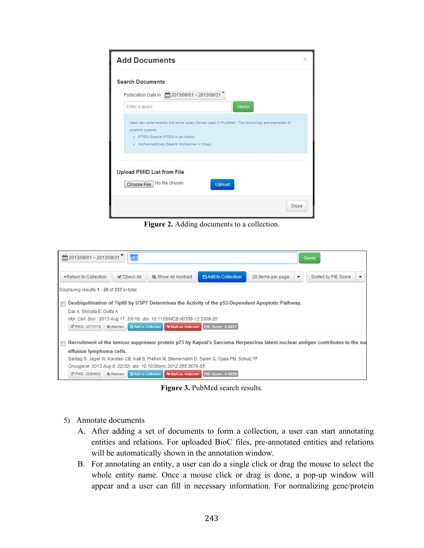

**Figure 2.** Adding documents to a collection.

| $\lim_{x\to 0} 2013/08/01 \sim 2013/08/31$ | p53                              |                                                                                                                                |                                      |                   |   | Query               |  |
|--------------------------------------------|----------------------------------|--------------------------------------------------------------------------------------------------------------------------------|--------------------------------------|-------------------|---|---------------------|--|
| KReturn to Collection                      | ■ Check All                      | <b>Q</b> Show All Abstract                                                                                                     | Add to Collection                    | 20 items per page | ▼ | Sorted by PIE Score |  |
| Displaying results 1 - 20 of 337 in total  |                                  |                                                                                                                                |                                      |                   |   |                     |  |
| П                                          |                                  | Deubiquitination of Tip60 by USP7 Determines the Activity of the p53-Dependent Apoptotic Pathway.                              |                                      |                   |   |                     |  |
| Dar A, Shibata E, Dutta A                  |                                  |                                                                                                                                |                                      |                   |   |                     |  |
|                                            |                                  | Mol. Cell. Biol 2013 Aug 17. 33(16). doi: 10.1128/MCB.00358-13:3309-20                                                         |                                      |                   |   |                     |  |
|                                            |                                  | □ PMID: 23775119   @ Abstract   E Add to Collection   ■ Mark as Irrelevant   PIE Score: 0.4427                                 |                                      |                   |   |                     |  |
|                                            |                                  |                                                                                                                                |                                      |                   |   |                     |  |
| $\blacksquare$                             |                                  | Recruitment of the tumour suppressor protein p73 by Kaposi's Sarcoma Herpesvirus latent nuclear antigen contributes to the sur |                                      |                   |   |                     |  |
| effusion lymphoma cells.                   |                                  |                                                                                                                                |                                      |                   |   |                     |  |
|                                            |                                  | Santag S, Jäger W, Karsten CB, Kati S, Pietrek M, Steinemann D, Sarek G, Ojala PM, Schulz TF                                   |                                      |                   |   |                     |  |
|                                            |                                  | Oncogene, 2013 Aug 8, 32(32), doi: 10.1038/onc.2012.385:3676-85                                                                |                                      |                   |   |                     |  |
| E PMID: 22964633                           | Q Abstract   B Add to Collection |                                                                                                                                | Mark as Irrelevant PIE Score: 0.4039 |                   |   |                     |  |

**Figure 3.** PubMed search results.

- 5) Annotate documents
	- A. After adding a set of documents to form a collection, a user can start annotating entities and relations. For uploaded BioC files, pre-annotated entities and relations will be automatically shown in the annotation window.
	- B. For annotating an entity, a user can do a single click or drag the mouse to select the whole entity name. Once a mouse click or drag is done, a pop-up window will appear and a user can fill in necessary information. For normalizing gene/protein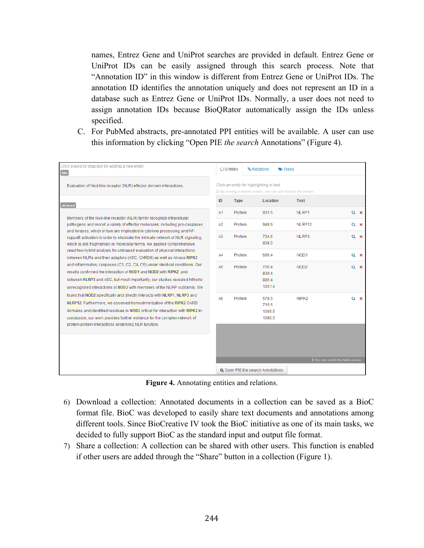names, Entrez Gene and UniProt searches are provided in default. Entrez Gene or UniProt IDs can be easily assigned through this search process. Note that "Annotation ID" in this window is different from Entrez Gene or UniProt IDs. The annotation ID identifies the annotation uniquely and does not represent an ID in a database such as Entrez Gene or UniProt IDs. Normally, a user does not need to assign annotation IDs because BioQRator automatically assign the IDs unless specified.

C. For PubMed abstracts, pre-annotated PPI entities will be available. A user can use this information by clicking "Open PIE *the search* Annotations" (Figure 4).

| Click a word or drag text for adding a new entity.<br>title                                                                                                                                                                                                                                                                                                              | $\circ$ Entities |                                                                                                               | <b>&amp; Relations</b><br>Types          |                   |                                              |  |  |  |
|--------------------------------------------------------------------------------------------------------------------------------------------------------------------------------------------------------------------------------------------------------------------------------------------------------------------------------------------------------------------------|------------------|---------------------------------------------------------------------------------------------------------------|------------------------------------------|-------------------|----------------------------------------------|--|--|--|
| Evaluation of Nod-like receptor (NLR) effector domain interactions.                                                                                                                                                                                                                                                                                                      |                  | Click an entity for highlighting in text.<br>Le By clicking a header column, you can sort data by the column. |                                          |                   |                                              |  |  |  |
| abstract                                                                                                                                                                                                                                                                                                                                                                 | ID               | <b>Type</b>                                                                                                   | Location                                 | <b>Text</b>       |                                              |  |  |  |
|                                                                                                                                                                                                                                                                                                                                                                          | A1               | Protein                                                                                                       | 931:5                                    | NLRP1             | $Q \times$                                   |  |  |  |
| Members of the Nod-like receptor (NLR) family recognize intracellular<br>pathogens and recruit a variety of effector molecules, including pro-caspases<br>and kinases, which in turn are implicated in cytokine processing and NF-                                                                                                                                       | A2               | Protein                                                                                                       | 948:6                                    | NLRP12            | $Q \times$                                   |  |  |  |
| kappaB activation. In order to elucidate the intricate network of NLR signaling.<br>which is still fragmentary in molecular terms, we applied comprehensive                                                                                                                                                                                                              | A3               | Protein                                                                                                       | 734:5<br>938:5                           | NLRP3             | $Q \times$                                   |  |  |  |
| yeast two-hybrid analysis for unbiased evaluation of physical interactions<br>between NLRs and their adaptors (ASC, CARD8) as well as kinase RIPK2                                                                                                                                                                                                                       | A4               | Protein                                                                                                       | 696:4                                    | NOD <sub>1</sub>  | $Q \times$                                   |  |  |  |
| and inflammatory caspases (C1, C2, C4, C5) under identical conditions. Our<br>results confirmed the interaction of NOD1 and NOD2 with RIPK2, and<br>between NLRP3 and ASC, but most importantly, our studies revealed hitherto<br>unrecognized interactions of NOD2 with members of the NLRP subfamily. We                                                               | A5               | Protein                                                                                                       | 705:4<br>830:4<br>885:4<br>1051:4        | NOD <sub>2</sub>  | $Q \times$                                   |  |  |  |
| found that NOD2 specifically and directly interacts with NLRP1, NLRP3 and<br>NLRP12. Furthermore, we observed homodimerization of the RIPK2 CARD<br>domains and identified residues in NOD2 critical for interaction with RIPK2.In<br>conclusion, our work provides further evidence for the complex network of<br>protein-protein interactions underlying NLR function. | A6               | Protein                                                                                                       | 578:5<br>715:5<br>1005:5<br>1086:5       | RIPK <sub>2</sub> | $Q \times$                                   |  |  |  |
|                                                                                                                                                                                                                                                                                                                                                                          |                  |                                                                                                               |                                          |                   | <sup>1</sup> You can scroll the table above. |  |  |  |
|                                                                                                                                                                                                                                                                                                                                                                          |                  |                                                                                                               | <b>Q</b> Open PIE the search Annotations |                   |                                              |  |  |  |

**Figure 4.** Annotating entities and relations.

- 6) Download a collection: Annotated documents in a collection can be saved as a BioC format file. BioC was developed to easily share text documents and annotations among different tools. Since BioCreative IV took the BioC initiative as one of its main tasks, we decided to fully support BioC as the standard input and output file format.
- 7) Share a collection: A collection can be shared with other users. This function is enabled if other users are added through the "Share" button in a collection (Figure 1).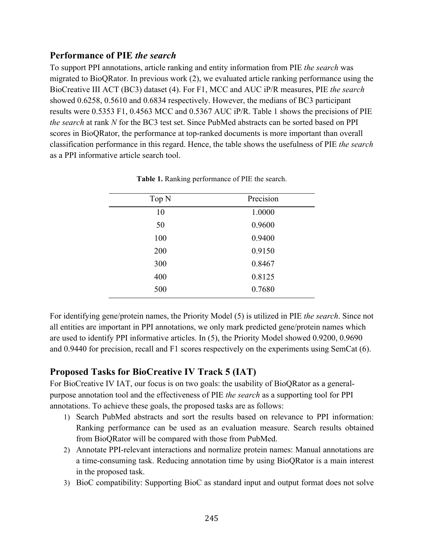#### **Performance of PIE** *the search*

To support PPI annotations, article ranking and entity information from PIE *the search* was migrated to BioQRator. In previous work (2), we evaluated article ranking performance using the BioCreative III ACT (BC3) dataset (4). For F1, MCC and AUC iP/R measures, PIE *the search* showed 0.6258, 0.5610 and 0.6834 respectively. However, the medians of BC3 participant results were 0.5353 F1, 0.4563 MCC and 0.5367 AUC iP/R. Table 1 shows the precisions of PIE *the search* at rank *N* for the BC3 test set. Since PubMed abstracts can be sorted based on PPI scores in BioQRator, the performance at top-ranked documents is more important than overall classification performance in this regard. Hence, the table shows the usefulness of PIE *the search* as a PPI informative article search tool.

| Top N | Precision |  |  |  |
|-------|-----------|--|--|--|
| 10    | 1.0000    |  |  |  |
| 50    | 0.9600    |  |  |  |
| 100   | 0.9400    |  |  |  |
| 200   | 0.9150    |  |  |  |
| 300   | 0.8467    |  |  |  |
| 400   | 0.8125    |  |  |  |
| 500   | 0.7680    |  |  |  |

**Table 1.** Ranking performance of PIE the search.

For identifying gene/protein names, the Priority Model (5) is utilized in PIE *the search*. Since not all entities are important in PPI annotations, we only mark predicted gene/protein names which are used to identify PPI informative articles. In (5), the Priority Model showed 0.9200, 0.9690 and 0.9440 for precision, recall and F1 scores respectively on the experiments using SemCat (6).

#### **Proposed Tasks for BioCreative IV Track 5 (IAT)**

For BioCreative IV IAT, our focus is on two goals: the usability of BioQRator as a generalpurpose annotation tool and the effectiveness of PIE *the search* as a supporting tool for PPI annotations. To achieve these goals, the proposed tasks are as follows:

- 1) Search PubMed abstracts and sort the results based on relevance to PPI information: Ranking performance can be used as an evaluation measure. Search results obtained from BioQRator will be compared with those from PubMed.
- 2) Annotate PPI-relevant interactions and normalize protein names: Manual annotations are a time-consuming task. Reducing annotation time by using BioQRator is a main interest in the proposed task.
- 3) BioC compatibility: Supporting BioC as standard input and output format does not solve